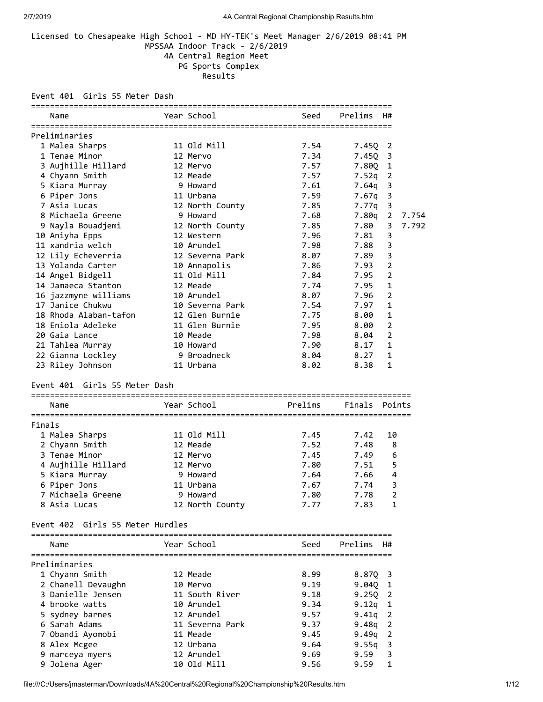### Licensed to Chesapeake High School - MD HY-TEK's Meet Manager 2/6/2019 08:41 PM MPSSAA Indoor Track - 2/6/2019 4A Central Region Meet PG Sports Complex Results

Event 401 Girls 55 Meter Dash

|        | Name                             | Year School     | Seed    | Prelims       | H#             |       |
|--------|----------------------------------|-----------------|---------|---------------|----------------|-------|
|        |                                  |                 |         |               |                |       |
|        | Preliminaries                    |                 |         |               |                |       |
|        | 1 Malea Sharps                   | 11 Old Mill     | 7.54    | 7.45Q         | 2              |       |
|        | 1 Tenae Minor                    | 12 Mervo        | 7.34    | 7.450         | 3              |       |
|        | 3 Aujhille Hillard               | 12 Mervo        | 7.57    | 7.800         | 1              |       |
|        | 4 Chyann Smith                   | 12 Meade        | 7.57    | 7.52q         | 2              |       |
|        | 5 Kiara Murray                   | 9 Howard        | 7.61    | 7.64g         | 3              |       |
|        | 6 Piper Jons                     | 11 Urbana       | 7.59    | 7.67q         | 3              |       |
|        | 7 Asia Lucas                     | 12 North County | 7.85    | 7.77q         | 3              |       |
|        | 8 Michaela Greene                | 9 Howard        | 7.68    | 7.80g         | 2              | 7.754 |
|        | 9 Nayla Bouadjemi                | 12 North County | 7.85    | 7.80          | 3              | 7.792 |
|        | 10 Aniyha Epps                   | 12 Western      | 7.96    | 7.81          | 3              |       |
|        | 11 xandria welch                 | 10 Arundel      | 7.98    | 7.88          | 3              |       |
|        | 12 Lily Echeverria               | 12 Severna Park | 8.07    | 7.89          | 3              |       |
|        | 13 Yolanda Carter                | 10 Annapolis    | 7.86    | 7.93          | $\overline{2}$ |       |
|        | 14 Angel Bidgell                 | 11 Old Mill     | 7.84    | 7.95          | $\overline{2}$ |       |
|        | 14 Jamaeca Stanton               | 12 Meade        | 7.74    | 7.95          | $\mathbf{1}$   |       |
|        | 16 jazzmyne williams             | 10 Arundel      | 8.07    | 7.96          | $\overline{2}$ |       |
|        | 17 Janice Chukwu                 | 10 Severna Park | 7.54    | 7.97          | 1              |       |
|        | 18 Rhoda Alaban-tafon            | 12 Glen Burnie  | 7.75    | 8.00          | $\mathbf{1}$   |       |
|        | 18 Eniola Adeleke                | 11 Glen Burnie  | 7.95    | 8.00          | $\overline{2}$ |       |
|        | 20 Gaia Lance                    | 10 Meade        | 7.98    | 8.04          | $\overline{2}$ |       |
|        | 21 Tahlea Murray                 | 10 Howard       | 7.90    | 8.17          | $\mathbf{1}$   |       |
|        | 22 Gianna Lockley                | 9 Broadneck     | 8.04    | 8.27          | $\mathbf{1}$   |       |
|        | 23 Riley Johnson                 | 11 Urbana       | 8.02    | 8.38          | 1              |       |
|        | Event 401 Girls 55 Meter Dash    |                 |         |               |                |       |
|        | Name                             | Year School     | Prelims | Finals        | Points         |       |
| Finals |                                  |                 |         |               |                |       |
|        | 1 Malea Sharps                   | 11 Old Mill     | 7.45    | 7.42          | 10             |       |
|        | 2 Chyann Smith                   | 12 Meade        | 7.52    | 7.48          | 8              |       |
|        | 3 Tenae Minor                    | 12 Mervo        | 7.45    | 7.49          | 6              |       |
|        | 4 Aujhille Hillard               | 12 Mervo        | 7.80    | 7.51          | 5              |       |
|        | 5 Kiara Murray                   | 9 Howard        | 7.64    | 7.66          | 4              |       |
|        | 6 Piper Jons                     | 11 Urbana       | 7.67    | 7.74          | 3              |       |
|        | 7 Michaela Greene                | 9 Howard        | 7.80    | 7.78          | $\overline{2}$ |       |
|        | 8 Asia Lucas                     | 12 North County | 7.77    | 7.83          | 1              |       |
|        | Event 402 Girls 55 Meter Hurdles |                 |         |               |                |       |
|        |                                  |                 |         |               |                |       |
|        | Name                             | Year School     | Seed    | Prelims       | H#             |       |
|        | Preliminaries                    |                 |         |               |                |       |
|        | 1 Chyann Smith                   | 12 Meade        | 8.99    | 8.87Q         | 3              |       |
|        | 2 Chanell Devaughn               | 10 Mervo        | 9.19    | 9.04Q         | 1              |       |
|        | 3 Danielle Jensen                | 11 South River  | 9.18    | 9.25Q         | 2              |       |
|        | 4 brooke watts                   | 10 Arundel      | 9.34    | 9.12q         | 1              |       |
|        | 5 sydney barnes                  | 12 Arundel      | 9.57    | 9.41q         | 2              |       |
|        | 6 Sarah Adams                    | 11 Severna Park | 9.37    | 9.48g         | 2              |       |
|        | 7 Obandi Ayomobi                 | 11 Meade        | 9.45    | 9.49g         | 2              |       |
|        |                                  |                 |         |               |                |       |
|        |                                  | 12 Urbana       | 9.64    |               | 3              |       |
|        | 8 Alex Mcgee<br>9 marceya myers  | 12 Arundel      | 9.69    | 9.55q<br>9.59 | 3              |       |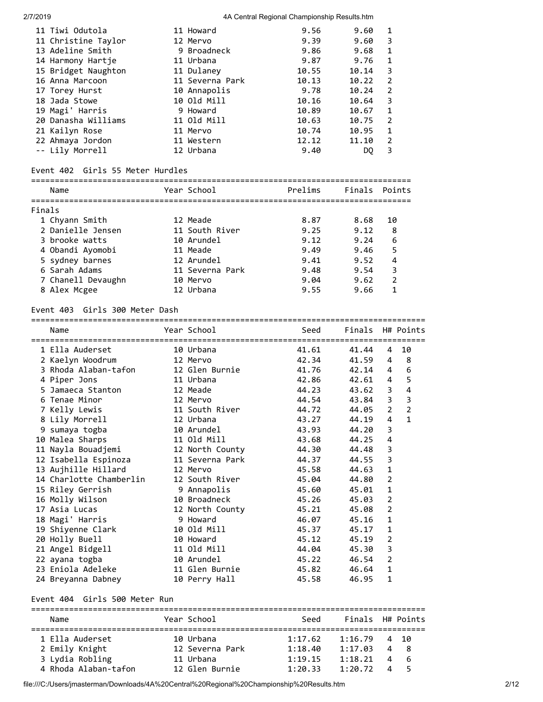| 11 Tiwi Odutola     | 11 Howard       | 9.56  | 9.60  | 1             |
|---------------------|-----------------|-------|-------|---------------|
| 11 Christine Taylor | 12 Mervo        | 9.39  | 9.60  | 3             |
| 13 Adeline Smith    | 9 Broadneck     | 9.86  | 9.68  | 1             |
| 14 Harmony Hartje   | 11 Urbana       | 9.87  | 9.76  | 1             |
| 15 Bridget Naughton | 11 Dulaney      | 10.55 | 10.14 | 3             |
| 16 Anna Marcoon     | 11 Severna Park | 10.13 | 10.22 | $\mathcal{L}$ |
| 17 Torey Hurst      | 10 Annapolis    | 9.78  | 10.24 | $\mathcal{P}$ |
| 18 Jada Stowe       | 10 Old Mill     | 10.16 | 10.64 | 3             |
| 19 Magi' Harris     | 9 Howard        | 10.89 | 10.67 | $\mathbf{1}$  |
| 20 Danasha Williams | 11 Old Mill     | 10.63 | 10.75 | $\mathcal{L}$ |
| 21 Kailyn Rose      | 11 Mervo        | 10.74 | 10.95 | $\mathbf{1}$  |
| 22 Ahmaya Jordon    | 11 Western      | 12.12 | 11.10 | $\mathcal{P}$ |
| -- Lily Morrell     | 12 Urbana       | 9.40  | DO    | 3             |
|                     |                 |       |       |               |

#### Event 402 Girls 55 Meter Hurdles

| Name               | Year School     | Prelims | Finals Points |                |
|--------------------|-----------------|---------|---------------|----------------|
| Finals             |                 |         |               |                |
| 1 Chyann Smith     | 12 Meade        | 8.87    | 8.68          | 10             |
| 2 Danielle Jensen  | 11 South River  | 9.25    | 9.12          | 8              |
| 3 brooke watts     | 10 Arundel      | 9.12    | 9.24          | 6              |
| 4 Obandi Ayomobi   | 11 Meade        | 9.49    | 9.46          | 5              |
| 5 sydney barnes    | 12 Arundel      | 9.41    | 9.52          | 4              |
| 6 Sarah Adams      | 11 Severna Park | 9.48    | 9.54          | 3              |
| 7 Chanell Devaughn | 10 Mervo        | 9.04    | 9.62          | $\mathfrak{p}$ |
| 8 Alex Mcgee       | 12 Urbana       | 9.55    | 9.66          |                |
|                    |                 |         |               |                |

#### Event 403 Girls 300 Meter Dash

| Name                                                     | Year School     | Seed<br>,,,,,,,,,,,,,,,,,,,,,,, | Finals H# Points<br>=========== |                |                         |
|----------------------------------------------------------|-----------------|---------------------------------|---------------------------------|----------------|-------------------------|
| 1 Ella Auderset                                          | 10 Urbana       | 41.61                           | 41.44                           | 4              | 10                      |
| 2 Kaelyn Woodrum 12 Mervo                                |                 | 42.34                           | 41.59                           | 4              | 8                       |
| 3 Rhoda Alaban-tafon 12 Glen Burnie                      |                 | 41.76                           | 42.14                           | 4              | 6                       |
| 4 Piper Jons                                             | 11 Urbana       | 42.86                           | 42.61 4                         |                | 5                       |
| 5 Jamaeca Stanton<br>12 Meade                            |                 | 44.23                           | 43.62                           | 3              | 4                       |
| 6 Tenae Minor<br><b>12 Mervo</b>                         |                 | 44.54                           | 43.84                           | 3              | $\overline{\mathbf{3}}$ |
| 7 Kelly Lewis                                            | 11 South River  | 44.72                           | 44.05                           | $\overline{2}$ | $\overline{2}$          |
| 8 Lily Morrell                                           | 12 Urbana       | 43.27                           | 44.19                           | 4              | $\mathbf{1}$            |
| 9 sumaya togba                                           | 10 Arundel      | 43.93                           | 44.20                           | 3              |                         |
| 10 Malea Sharps                                          | 11 Old Mill     | 43.68                           | 44.25                           | 4              |                         |
| 11 Nayla Bouadjemi                       12 North County |                 | 44.30                           | 44.48                           | 3              |                         |
|                                                          |                 | 44.37                           | 44.55                           | 3              |                         |
| 13 Aujhille Hillard                                      | 12 Mervo        | 45.58                           | 44.63                           | $\mathbf{1}$   |                         |
| 14 Charlotte Chamberlin 12 South River                   |                 | 45.04                           | 44.80                           | $\overline{2}$ |                         |
| 15 Riley Gerrish 5 9 Annapolis                           |                 | 45.60                           | 45.01                           | $\mathbf{1}$   |                         |
| 16 Molly Wilson                                          | 10 Broadneck    | 45.26                           | 45.03                           | $\overline{2}$ |                         |
| 17 Asia Lucas                                            | 12 North County | 45.21                           | 45.08                           | $\overline{2}$ |                         |
| 18 Magi' Harris                                          | 9 Howard        | 46.07                           | 45.16                           | 1              |                         |
| 19 Shiyenne Clark 10 Old Mill                            |                 | 45.37                           | 45.17                           | 1              |                         |
| 20 Holly Buell                                           | 10 Howard       | 45.12                           | 45.19                           | $\overline{2}$ |                         |
| 21 Angel Bidgell 11 Old Mill                             |                 | 44.04                           | 45.30                           | 3              |                         |
| 22 ayana togba                                           | 10 Arundel      | 45.22                           | 46.54                           | $\overline{2}$ |                         |
| 23 Eniola Adeleke                                        | 11 Glen Burnie  | 45.82                           | 46.64                           | $\mathbf{1}$   |                         |
| 24 Breyanna Dabney                                       | 10 Perry Hall   | 45.58                           | 46.95                           | 1              |                         |

# Event 404 Girls 500 Meter Run

| Name                 | Year School     | Seed    | Finals H# Points |          |     |  |  |  |
|----------------------|-----------------|---------|------------------|----------|-----|--|--|--|
|                      |                 |         |                  |          |     |  |  |  |
| 1 Ella Auderset      | 10 Urbana       | 1:17.62 | 1:16.79          |          | 410 |  |  |  |
| 2 Emily Knight       | 12 Severna Park | 1:18.40 | 1:17.03          | 4        | - 8 |  |  |  |
| 3 Lydia Robling      | 11 Urbana       | 1:19.15 | 1:18.21          | 4        | - 6 |  |  |  |
| 4 Rhoda Alaban-tafon | 12 Glen Burnie  | 1:20.33 | 1:20.72          | $\Delta$ |     |  |  |  |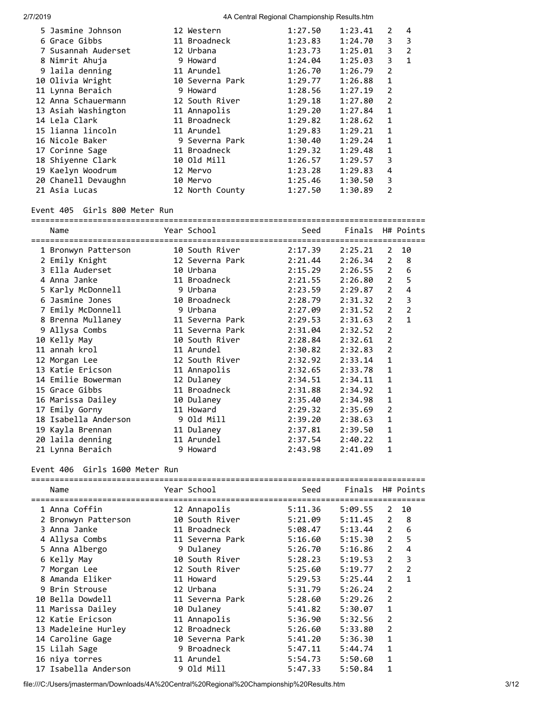| 5 Jasmine Johnson   | 12 Western      | 1:27.50 | 1:23.41 | $\mathcal{L}$  | 4              |
|---------------------|-----------------|---------|---------|----------------|----------------|
| 6 Grace Gibbs       | 11 Broadneck    | 1:23.83 | 1:24.70 | 3              | 3              |
| 7 Susannah Auderset | 12 Urbana       | 1:23.73 | 1:25.01 | 3              | $\overline{2}$ |
| 8 Nimrit Ahuja      | 9 Howard        | 1:24.04 | 1:25.03 | 3              | 1              |
| 9 laila denning     | 11 Arundel      | 1:26.70 | 1:26.79 | $\overline{2}$ |                |
| 10 Olivia Wright    | 10 Severna Park | 1:29.77 | 1:26.88 | $\mathbf{1}$   |                |
| 11 Lynna Beraich    | 9 Howard        | 1:28.56 | 1:27.19 | $\overline{2}$ |                |
| 12 Anna Schauermann | 12 South River  | 1:29.18 | 1:27.80 | $\overline{2}$ |                |
| 13 Asiah Washington | 11 Annapolis    | 1:29.20 | 1:27.84 | 1              |                |
| 14 Lela Clark       | 11 Broadneck    | 1:29.82 | 1:28.62 | $\mathbf{1}$   |                |
| 15 lianna lincoln   | 11 Arundel      | 1:29.83 | 1:29.21 | $\mathbf{1}$   |                |
| 16 Nicole Baker     | 9 Severna Park  | 1:30.40 | 1:29.24 | $\mathbf{1}$   |                |
| 17 Corinne Sage     | 11 Broadneck    | 1:29.32 | 1:29.48 | 1              |                |
| 18 Shiyenne Clark   | 10 Old Mill     | 1:26.57 | 1:29.57 | 3              |                |
| 19 Kaelyn Woodrum   | 12 Mervo        | 1:23.28 | 1:29.83 | 4              |                |
| 20 Chanell Devaughn | 10 Mervo        | 1:25.46 | 1:30.50 | 3              |                |
| 21 Asia Lucas       | 12 North County | 1:27.50 | 1:30.89 | 2              |                |
|                     |                 |         |         |                |                |

# Event 405 Girls 800 Meter Run

| Name                 | Year School     | Seed    | Finals H# Points |                |                |
|----------------------|-----------------|---------|------------------|----------------|----------------|
| 1 Bronwyn Patterson  | 10 South River  | 2:17.39 | 2:25.21          | 2              | 10             |
| 2 Emily Knight       | 12 Severna Park | 2:21.44 | 2:26.34          | 2              | 8              |
| 3 Ella Auderset      | 10 Urbana       | 2:15.29 | 2:26.55          | $\overline{2}$ | 6              |
| 4 Anna Janke         | 11 Broadneck    | 2:21.55 | 2:26.80          | $\overline{2}$ | 5              |
| 5 Karly McDonnell    | 9 Urbana        | 2:23.59 | 2:29.87          | $\overline{2}$ | 4              |
| 6 Jasmine Jones      | 10 Broadneck    | 2:28.79 | 2:31.32          | 2              | 3              |
| 7 Emily McDonnell    | 9 Urbana        | 2:27.09 | 2:31.52          | $\overline{2}$ | $\overline{2}$ |
| 8 Brenna Mullaney    | 11 Severna Park | 2:29.53 | 2:31.63          | $\overline{2}$ | $\mathbf{1}$   |
| 9 Allysa Combs       | 11 Severna Park | 2:31.04 | 2:32.52          | $\overline{2}$ |                |
| 10 Kelly May         | 10 South River  | 2:28.84 | 2:32.61          | $\overline{2}$ |                |
| 11 annah krol        | 11 Arundel      | 2:30.82 | 2:32.83          | $\overline{2}$ |                |
| 12 Morgan Lee        | 12 South River  | 2:32.92 | 2:33.14          | $\mathbf{1}$   |                |
| 13 Katie Ericson     | 11 Annapolis    | 2:32.65 | 2:33.78          | 1              |                |
| 14 Emilie Bowerman   | 12 Dulaney      | 2:34.51 | 2:34.11          | 1              |                |
| 15 Grace Gibbs       | 11 Broadneck    | 2:31.88 | 2:34.92          | 1              |                |
| 16 Marissa Dailey    | 10 Dulaney      | 2:35.40 | 2:34.98          | $\mathbf{1}$   |                |
| 17 Emily Gorny       | 11 Howard       | 2:29.32 | 2:35.69          | $\overline{2}$ |                |
| 18 Isabella Anderson | 9 Old Mill      | 2:39.20 | 2:38.63          | 1              |                |
| 19 Kayla Brennan     | 11 Dulaney      | 2:37.81 | 2:39.50          | 1              |                |
| 20 laila denning     | 11 Arundel      | 2:37.54 | 2:40.22          | 1              |                |
| 21 Lynna Beraich     | 9 Howard        | 2:43.98 | 2:41.09          | 1              |                |

#### Event 406 Girls 1600 Meter Run

| Name                 | Year School     | Seed    | Finals  |                | H# Points      |
|----------------------|-----------------|---------|---------|----------------|----------------|
| 1 Anna Coffin        | 12 Annapolis    | 5:11.36 | 5:09.55 | $\mathcal{L}$  | 10             |
| 2 Bronwyn Patterson  | 10 South River  | 5:21.09 | 5:11.45 | 2              | 8              |
| 3 Anna Janke         | 11 Broadneck    | 5:08.47 | 5:13.44 | $\overline{2}$ | 6              |
| 4 Allysa Combs       | 11 Severna Park | 5:16.60 | 5:15.30 | 2              | 5              |
| 5 Anna Albergo       | 9 Dulaney       | 5:26.70 | 5:16.86 | $\overline{2}$ | 4              |
| 6 Kelly May          | 10 South River  | 5:28.23 | 5:19.53 | $\overline{2}$ | 3              |
| 7 Morgan Lee         | 12 South River  | 5:25.60 | 5:19.77 | $\overline{2}$ | $\overline{2}$ |
| 8 Amanda Eliker      | 11 Howard       | 5:29.53 | 5:25.44 | $\overline{2}$ | $\mathbf{1}$   |
| 9 Brin Strouse       | 12 Urbana       | 5:31.79 | 5:26.24 | $\overline{2}$ |                |
| 10 Bella Dowdell     | 11 Severna Park | 5:28.60 | 5:29.26 | 2              |                |
| 11 Marissa Dailey    | 10 Dulaney      | 5:41.82 | 5:30.07 | 1              |                |
| 12 Katie Ericson     | 11 Annapolis    | 5:36.90 | 5:32.56 | 2              |                |
| 13 Madeleine Hurley  | 12 Broadneck    | 5:26.60 | 5:33.80 | 2              |                |
| 14 Caroline Gage     | 10 Severna Park | 5:41.20 | 5:36.30 | 1              |                |
| 15 Lilah Sage        | 9 Broadneck     | 5:47.11 | 5:44.74 | $\mathbf{1}$   |                |
| 16 niya torres       | 11 Arundel      | 5:54.73 | 5:50.60 | $\mathbf{1}$   |                |
| 17 Isabella Anderson | 9 Old Mill      | 5:47.33 | 5:50.84 | 1              |                |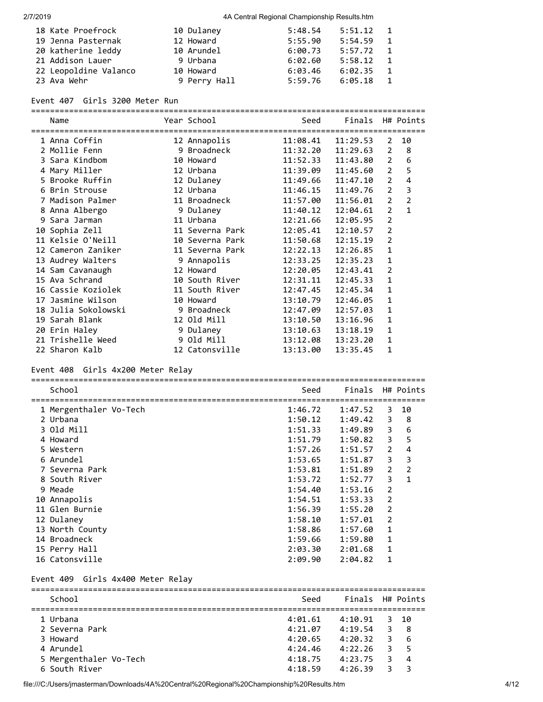| 18 Kate Proefrock     | 10 Dulaney   | 5:48.54 | 5:51.12 | $\overline{1}$ |
|-----------------------|--------------|---------|---------|----------------|
| 19 Jenna Pasternak    | 12 Howard    | 5:55.90 | 5:54.59 | $\overline{1}$ |
| 20 katherine leddy    | 10 Arundel   | 6:00.73 | 5:57.72 | $\overline{1}$ |
| 21 Addison Lauer      | 9 Urbana     | 6:02.60 | 5:58.12 | $\blacksquare$ |
| 22 Leopoldine Valanco | 10 Howard    | 6:03.46 | 6:02.35 | $\overline{1}$ |
| 23 Ava Wehr           | 9 Perry Hall | 5:59.76 | 6:05.18 |                |

### Event 407 Girls 3200 Meter Run

|                     |                 | ==========                             |                  |                |                |
|---------------------|-----------------|----------------------------------------|------------------|----------------|----------------|
| Name                | Year School     | Seed                                   | Finals H# Points |                |                |
|                     |                 | ====================================== |                  |                |                |
| 1 Anna Coffin       | 12 Annapolis    | 11:08.41                               | 11:29.53         | 2              | 10             |
| 2 Mollie Fenn       | 9 Broadneck     | 11:32.20                               | 11:29.63         | $\overline{2}$ | 8              |
| 3 Sara Kindbom      | 10 Howard       | 11:52.33                               | 11:43.80         | $\overline{2}$ | 6              |
| 4 Mary Miller       | 12 Urbana       | 11:39.09                               | 11:45.60         | $\overline{2}$ | 5              |
| 5 Brooke Ruffin     | 12 Dulaney      | 11:49.66                               | 11:47.10         | $\overline{2}$ | 4              |
| 6 Brin Strouse      | 12 Urbana       | 11:46.15                               | 11:49.76         | $\overline{2}$ | 3              |
| 7 Madison Palmer    | 11 Broadneck    | 11:57.00                               | 11:56.01         | $\overline{2}$ | $\overline{2}$ |
| 8 Anna Albergo      | 9 Dulaney       | 11:40.12                               | 12:04.61         | $\overline{2}$ | $\mathbf{1}$   |
| 9 Sara Jarman       | 11 Urbana       | 12:21.66                               | 12:05.95         | $\overline{2}$ |                |
| 10 Sophia Zell      | 11 Severna Park | 12:05.41                               | 12:10.57         | $\overline{2}$ |                |
| 11 Kelsie O'Neill   | 10 Severna Park | 11:50.68                               | 12:15.19         | $\overline{2}$ |                |
| 12 Cameron Zaniker  | 11 Severna Park | 12:22.13                               | 12:26.85         | $\mathbf{1}$   |                |
| 13 Audrey Walters   | 9 Annapolis     | 12:33.25                               | 12:35.23         | $\mathbf{1}$   |                |
| 14 Sam Cavanaugh    | 12 Howard       | 12:20.05                               | 12:43.41         | $\overline{2}$ |                |
| 15 Ava Schrand      | 10 South River  | 12:31.11                               | 12:45.33         | $\mathbf{1}$   |                |
|                     |                 | 12:47.45                               | 12:45.34         | $\mathbf{1}$   |                |
| 17 Jasmine Wilson   | 10 Howard       | 13:10.79                               | 12:46.05         | 1              |                |
| 18 Julia Sokolowski | 9 Broadneck     | 12:47.09                               | 12:57.03         | $\mathbf{1}$   |                |
| 19 Sarah Blank      | 12 Old Mill     | 13:10.50                               | 13:16.96         | 1              |                |
| 20 Erin Haley       | 9 Dulaney       | 13:10.63                               | 13:18.19         | $\mathbf{1}$   |                |
| 21 Trishelle Weed   | 9 Old Mill      | 13:12.08                               | 13:23.20         | 1              |                |
| 22 Sharon Kalb      | 12 Catonsville  | 13:13.00                               | 13:35.45         | 1              |                |

## Event 408 Girls 4x200 Meter Relay

| School                 | Seed    | Finals  |                | H# Points      |
|------------------------|---------|---------|----------------|----------------|
|                        |         |         |                |                |
| 1 Mergenthaler Vo-Tech | 1:46.72 | 1:47.52 | 3              | 10             |
| 2 Urbana               | 1:50.12 | 1:49.42 | 3              | - 8            |
| 3 Old Mill             | 1:51.33 | 1:49.89 | 3              | 6              |
| 4 Howard               | 1:51.79 | 1:50.82 | 3              | 5              |
| 5 Western              | 1:57.26 | 1:51.57 | $\overline{2}$ | 4              |
| 6 Arundel              | 1:53.65 | 1:51.87 | 3              | 3              |
| 7 Severna Park         | 1:53.81 | 1:51.89 | $\overline{2}$ | $\overline{2}$ |
| 8 South River          | 1:53.72 | 1:52.77 | 3              | 1              |
| 9 Meade                | 1:54.40 | 1:53.16 | 2              |                |
| 10 Annapolis           | 1:54.51 | 1:53.33 | 2              |                |
| 11 Glen Burnie         | 1:56.39 | 1:55.20 | $\overline{2}$ |                |
| 12 Dulaney             | 1:58.10 | 1:57.01 | 2              |                |
| 13 North County        | 1:58.86 | 1:57.60 | 1              |                |
| 14 Broadneck           | 1:59.66 | 1:59.80 | 1              |                |
| 15 Perry Hall          | 2:03.30 | 2:01.68 | 1              |                |
| 16 Catonsville         | 2:09.90 | 2:04.82 | $\mathbf{1}$   |                |

### Event 409 Girls 4x400 Meter Relay

| School    |                        | Seed    | Finals H# Points |   |                       |
|-----------|------------------------|---------|------------------|---|-----------------------|
| 1 Urbana  |                        | 4:01.61 | 4:10.91          |   | 3 10                  |
|           | 2 Severna Park         | 4:21.07 | 4:19.54          | 3 | -8                    |
| 3 Howard  |                        | 4:20.65 | 4:20.32          | 3 | - 6                   |
| 4 Arundel |                        | 4:24.46 | 4:22.26          |   | 35                    |
|           | 5 Mergenthaler Vo-Tech | 4:18.75 | 4:23.75          |   | $\boldsymbol{\Delta}$ |
|           | 6 South River          | 4:18.59 | 4:26.39          |   | ₹                     |

file:///C:/Users/jmasterman/Downloads/4A%20Central%20Regional%20Championship%20Results.htm 4/12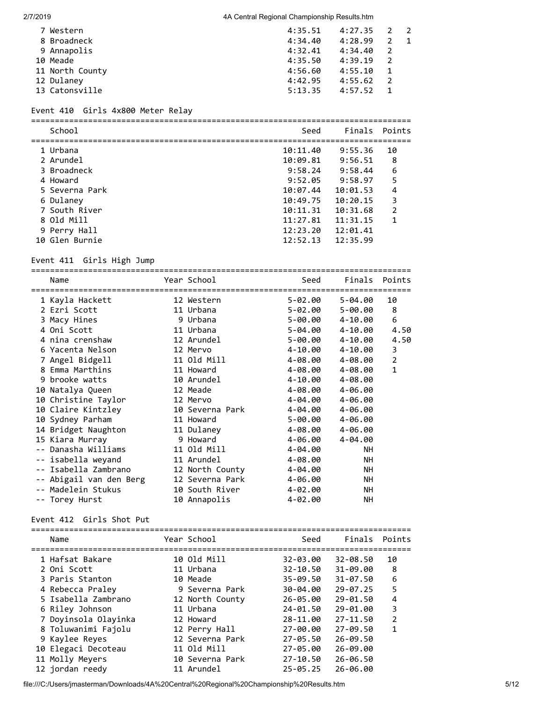|          | 7 Western       | 4:35.51 | $4:27.35$ 2 2 |              |  |
|----------|-----------------|---------|---------------|--------------|--|
|          | 8 Broadneck     | 4:34.40 | 4:28.99       |              |  |
|          | 9 Annapolis     | 4:32.41 | 4:34.40       | 2            |  |
| 10 Meade |                 | 4:35.50 | 4:39.19       | 2            |  |
|          | 11 North County | 4:56.60 | 4:55.10       | 1            |  |
|          | 12 Dulaney      | 4:42.95 | 4:55.62       | 2            |  |
|          | 13 Catonsville  | 5:13.35 | 4:57.52       | $\mathbf{1}$ |  |

### Event 410 Girls 4x800 Meter Relay

================================================================================

| School         | Seed     |          | Finals Points |
|----------------|----------|----------|---------------|
| 1 Urbana       | 10:11.40 | 9:55.36  | 10            |
| 2 Arundel      | 10:09.81 | 9:56.51  | 8             |
| 3 Broadneck    | 9:58.24  | 9:58.44  | 6             |
| 4 Howard       | 9:52.05  | 9:58.97  | 5             |
| 5 Severna Park | 10:07.44 | 10:01.53 | 4             |
| 6 Dulaney      | 10:49.75 | 10:20.15 | 3             |
| 7 South River  | 10:11.31 | 10:31.68 | 2             |
| 8 Old Mill     | 11:27.81 | 11:31.15 | 1             |
| 9 Perry Hall   | 12:23.20 | 12:01.41 |               |
| 10 Glen Burnie | 12:52.13 | 12:35.99 |               |
|                |          |          |               |

#### Event 411 Girls High Jump

================================================================================ Name **Year School** Seed Finals Points ================================================================================ 1 Kayla Hackett 12 Western 5-02.00 5-04.00 10 2 Ezri Scott 11 Urbana 5-02.00 5-00.00 8 3 Macy Hines 9 Urbana 5-00.00 4-10.00 6 4 Oni Scott 11 Urbana 5-04.00 4-10.00 4.50 4 nina crenshaw 12 Arundel 5-00.00 4-10.00 4.50 6 Yacenta Nelson 12 Mervo 4-10.00 4-10.00 3 7 Angel Bidgell 11 Old Mill 4-08.00 4-08.00 2 8 Emma Marthins 11 Howard 4-08.00 4-08.00 1 9 brooke watts 10 Arundel 4-10.00 4-08.00 10 Natalya Queen 12 Meade 4-08.00 4-06.00 10 Christine Taylor 12 Mervo 4-04.00 4-06.00 10 Claire Kintzley 10 Severna Park 4-04.00 4-06.00 10 Sydney Parham 11 Howard 5-00.00 4-06.00 14 Bridget Naughton 11 Dulaney 4-08.00 4-06.00 15 Kiara Murray 9 Howard 4-06.00 4-04.00 -- Danasha Williams 11 Old Mill 4-04.00 NH -- isabella weyand 11 Arundel 4-08.00 NH -- Isabella Zambrano 12 North County 4-04.00 NH -- Abigail van den Berg 12 Severna Park 4-06.00 NH -- Madelein Stukus 10 South River 4-02.00 NH -- Torey Hurst 10 Annapolis 4-02.00 NH

#### Event 412 Girls Shot Put

| Name                                    | Year School     | Seed         | Finals       | Points        |
|-----------------------------------------|-----------------|--------------|--------------|---------------|
| ====================<br>1 Hafsat Bakare | 10 Old Mill     | 32-03.00     | $32 - 08.50$ | 10            |
| 2 Oni Scott                             | 11 Urbana       | $32 - 10.50$ | 31-09.00     | 8             |
| 3 Paris Stanton                         | 10 Meade        | $35 - 09.50$ | 31-07.50     | 6             |
| 4 Rebecca Praley                        | 9 Severna Park  | $30 - 04.00$ | $29 - 07.25$ | 5             |
| 5 Isabella Zambrano                     | 12 North County | 26-05.00     | 29-01.50     | 4             |
| 6 Riley Johnson                         | 11 Urbana       | 24-01.50     | 29-01.00     | 3             |
| 7 Doyinsola Olayinka                    | 12 Howard       | 28-11.00     | 27-11.50     | $\mathcal{P}$ |
| 8 Toluwanimi Fajolu                     | 12 Perry Hall   | 27-00.00     | 27-09.50     | 1             |
| 9 Kaylee Reyes                          | 12 Severna Park | 27-05.50     | 26-09.50     |               |
| 10 Elegaci Decoteau                     | 11 Old Mill     | 27-05.00     | 26-09.00     |               |
| 11 Molly Meyers                         | 10 Severna Park | $27 - 10.50$ | 26-06.50     |               |
| 12 jordan reedy                         | 11 Arundel      | $25 - 05.25$ | 26-06.00     |               |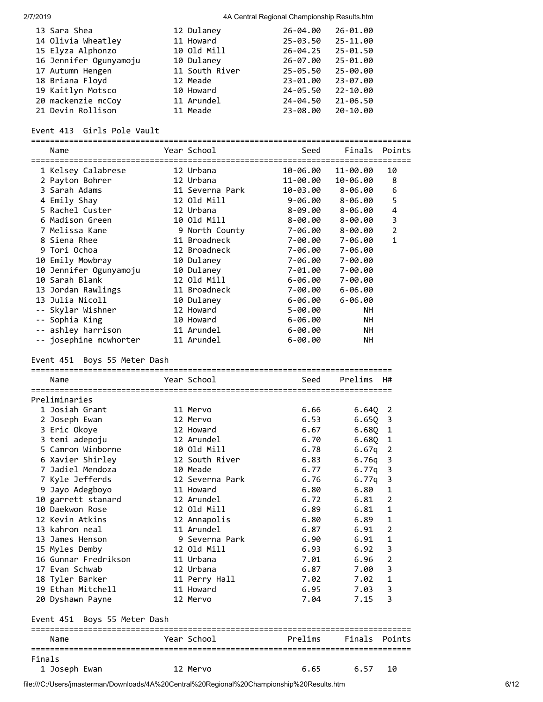| 13 Sara Shea           | 12 Dulaney     | 26-04.00     | 26-01.00 |
|------------------------|----------------|--------------|----------|
| 14 Olivia Wheatley     | 11 Howard      | $25 - 03.50$ | 25-11.00 |
| 15 Elyza Alphonzo      | 10 Old Mill    | $26 - 04.25$ | 25-01.50 |
| 16 Jennifer Ogunyamoju | 10 Dulaney     | 26-07.00     | 25-01.00 |
| 17 Autumn Hengen       | 11 South River | 25-05.50     | 25-00.00 |
| 18 Briana Floyd        | 12 Meade       | 23-01.00     | 23-07.00 |
| 19 Kaitlyn Motsco      | 10 Howard      | 24-05.50     | 22-10.00 |
| 20 mackenzie mcCoy     | 11 Arundel     | 24-04.50     | 21-06.50 |
| 21 Devin Rollison      | 11 Meade       | 23-08.00     | 20-10.00 |

#### Event 413 Girls Pole Vault

================================================================================

| Name                   | Year School     | Seed        | Finals      | Points         |
|------------------------|-----------------|-------------|-------------|----------------|
| 1 Kelsey Calabrese     | 12 Urbana       | 10-06.00    | 11-00.00    | 10             |
| 2 Payton Bohrer        | 12 Urbana       | 11-00.00    | 10-06.00    | 8              |
| 3 Sarah Adams          | 11 Severna Park | 10-03.00    | 8-06.00     | 6              |
| 4 Emily Shay           | 12 Old Mill     | $9 - 06.00$ | 8-06.00     | 5              |
| 5 Rachel Custer        | 12 Urbana       | 8-09.00     | 8-06.00     | 4              |
| 6 Madison Green        | 10 Old Mill     | 8-00.00     | 8-00.00     | 3              |
| 7 Melissa Kane         | 9 North County  | 7-06.00     | 8-00.00     | $\overline{2}$ |
| 8 Siena Rhee           | 11 Broadneck    | 7-00.00     | 7-06.00     | 1              |
| 9 Tori Ochoa           | 12 Broadneck    | 7-06.00     | 7-06.00     |                |
| 10 Emily Mowbray       | 10 Dulaney      | 7-06.00     | 7-00.00     |                |
| 10 Jennifer Ogunyamoju | 10 Dulaney      | 7-01.00     | 7-00.00     |                |
| 10 Sarah Blank         | 12 Old Mill     | 6-06.00     | 7-00.00     |                |
| 13 Jordan Rawlings     | 11 Broadneck    | 7-00.00     | $6 - 06.00$ |                |
| 13 Julia Nicoll        | 10 Dulaney      | 6-06.00     | $6 - 06.00$ |                |
| -- Skylar Wishner      | 12 Howard       | 5-00.00     | <b>NH</b>   |                |
| -- Sophia King         | 10 Howard       | $6 - 06.00$ | <b>NH</b>   |                |
| -- ashley harrison     | 11 Arundel      | $6 - 00.00$ | NH          |                |
| -- josephine mcwhorter | 11 Arundel      | 6-00.00     | <b>NH</b>   |                |

# Event 451 Boys 55 Meter Dash

|        | Name                             | Year School     | Seed    | Prelims | H#             |
|--------|----------------------------------|-----------------|---------|---------|----------------|
|        |                                  |                 |         |         |                |
|        | Preliminaries                    |                 |         |         |                |
|        | 1 Josiah Grant                   | 11 Mervo        | 6.66    | 6.640   | 2              |
|        | 2 Joseph Ewan                    | 12 Mervo        | 6.53    | 6.65Q   | 3              |
|        | 3 Eric Okoye                     | 12 Howard       | 6.67    | 6.68Q   | $\mathbf 1$    |
|        | 3 temi adepoju                   | 12 Arundel      | 6.70    | 6.680   | 1              |
|        | 5 Camron Winborne                | 10 Old Mill     | 6.78    | 6.67q   | $\overline{2}$ |
|        | 6 Xavier Shirley                 | 12 South River  | 6.83    | 6.76q   | 3              |
|        | 7 Jadiel Mendoza                 | 10 Meade        | 6.77    | 6.77g   | 3              |
|        | 7 Kyle Jefferds                  | 12 Severna Park | 6.76    | 6.77q   | 3              |
|        | 9 Jayo Adegboyo                  | 11 Howard       | 6.80    | 6.80    | $\mathbf{1}$   |
|        | 10 garrett stanard               | 12 Arundel      | 6.72    | 6.81    | $\overline{2}$ |
|        | 10 Daekwon Rose                  | 12 Old Mill     | 6.89    | 6.81    | $\mathbf{1}$   |
|        | 12 Kevin Atkins                  | 12 Annapolis    | 6.80    | 6.89    | $\mathbf{1}$   |
|        | 13 kahron neal                   | 11 Arundel      | 6.87    | 6.91    | $\overline{2}$ |
|        | 13 James Henson                  | 9 Severna Park  | 6.90    | 6.91    | $\mathbf{1}$   |
|        | 15 Myles Demby                   | 12 Old Mill     | 6.93    | 6.92    | 3              |
|        | 16 Gunnar Fredrikson             | 11 Urbana       | 7.01    | 6.96    | $\overline{2}$ |
|        | 17 Evan Schwab                   | 12 Urbana       | 6.87    | 7.00    | 3              |
|        | 18 Tyler Barker                  | 11 Perry Hall   | 7.02    | 7.02    | $\mathbf{1}$   |
|        | 19 Ethan Mitchell                | 11 Howard       | 6.95    | 7.03    | 3              |
|        | 20 Dyshawn Payne                 | 12 Mervo        | 7.04    | 7.15    | 3              |
|        | Event 451 Boys 55 Meter Dash     |                 |         |         |                |
|        | Name                             | Year School     | Prelims | Finals  | Points         |
| Finals | ================================ |                 |         |         |                |
|        | 1 Joseph Ewan                    | 12 Mervo        | 6.65    | 6.57    | 10             |

file:///C:/Users/jmasterman/Downloads/4A%20Central%20Regional%20Championship%20Results.htm 6/12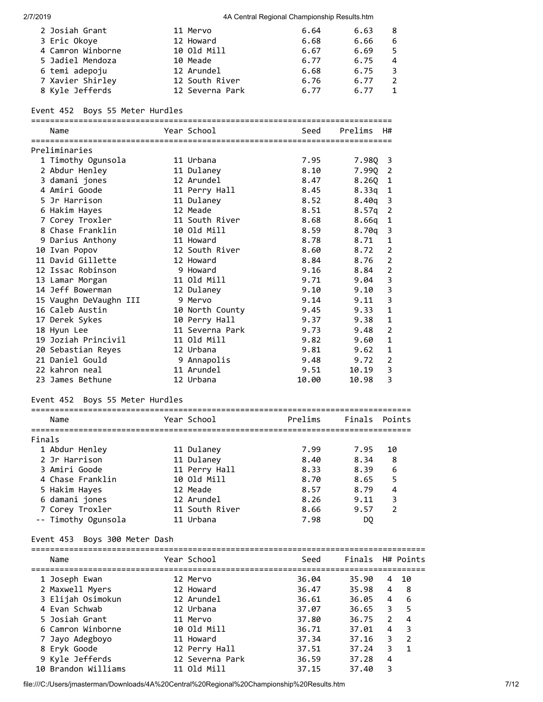| 2 Josiah Grant    | 11 Mervo        | 6.64 | 6.63 | 8 |
|-------------------|-----------------|------|------|---|
| 3 Eric Okoye      | 12 Howard       | 6.68 | 6.66 | 6 |
| 4 Camron Winborne | 10 Old Mill     | 6.67 | 6.69 |   |
| 5 Jadiel Mendoza  | 10 Meade        | 6.77 | 6.75 | 4 |
| 6 temi adepoju    | 12 Arundel      | 6.68 | 6.75 |   |
| 7 Xavier Shirley  | 12 South River  | 6.76 | 6.77 |   |
| 8 Kyle Jefferds   | 12 Severna Park | 6.77 | 6.77 |   |

### Event 452 Boys 55 Meter Hurdles

| Name               | Year School    | Seed        | Prelims<br><b>H#</b> |  |
|--------------------|----------------|-------------|----------------------|--|
| Preliminaries      |                |             |                      |  |
| 1 Timothy Ogunsola | 11 Urbana      | 7.95        | 7.98Q 3              |  |
| 2 Abdur Henley     | 11 Dulaney     | 8.10        | 7.990 2              |  |
| 3 damani jones     | 12 Arundel     | 8.47        | 8.260 1              |  |
| 4 Amiri Goode      | 11 Perry Hall  | 8.45        | $8.33q$ 1            |  |
| 5 Jr Harrison      | 11 Dulaney     | 8.52        | $8.40q$ 3            |  |
| 6 Hakim Hayes      | 12 Meade       | 8.51        | $8.57q$ 2            |  |
| 7 Coney Troyler    | 11 South River | <b>8 58</b> | $R$ 66 $n$ 1         |  |

| 7 Corey Troxler        | 11 South River  | 8.68  | 8.66q     | -1 |
|------------------------|-----------------|-------|-----------|----|
| 8 Chase Franklin       | 10 Old Mill     | 8.59  | $8.70q$ 3 |    |
| 9 Darius Anthony       | 11 Howard       | 8.78  | 8.71      | 1  |
| 10 Ivan Popov          | 12 South River  | 8.60  | 8.72      | 2  |
| 11 David Gillette      | 12 Howard       | 8.84  | 8.76      | 2  |
| 12 Issac Robinson      | 9 Howard        | 9.16  | 8.84      | 2  |
| 13 Lamar Morgan        | 11 Old Mill     | 9.71  | 9.04      | 3  |
| 14 Jeff Bowerman       | 12 Dulaney      | 9.10  | 9.10      | 3  |
| 15 Vaughn DeVaughn III | 9 Mervo         | 9.14  | 9.11      | 3  |
| 16 Caleb Austin        | 10 North County | 9.45  | 9.33      | 1  |
| 17 Derek Sykes         | 10 Perry Hall   | 9.37  | 9.38      | 1  |
| 18 Hyun Lee            | 11 Severna Park | 9.73  | 9.48      | 2  |
| 19 Joziah Princivil    | 11 Old Mill     | 9.82  | 9.60      | 1  |
| 20 Sebastian Reyes     | 12 Urbana       | 9.81  | 9.62      | 1  |
| 21 Daniel Gould        | 9 Annapolis     | 9.48  | 9.72      | 2  |
| 22 kahron neal         | 11 Arundel      | 9.51  | 10.19     | 3  |
| 23 James Bethune       | 12 Urbana       | 10.00 | 10.98     | 3  |

# Event 452 Boys 55 Meter Hurdles

| 1 Abdur Henley      |  |                                                                                                                                  | 7.99 |         |    | 10                                                                    |
|---------------------|--|----------------------------------------------------------------------------------------------------------------------------------|------|---------|----|-----------------------------------------------------------------------|
| 2 Jr Harrison       |  |                                                                                                                                  | 8.40 |         |    | 8                                                                     |
| 3 Amiri Goode       |  |                                                                                                                                  | 8.33 |         |    | 6                                                                     |
| 4 Chase Franklin    |  |                                                                                                                                  | 8.70 |         |    | 5                                                                     |
| 5 Hakim Hayes       |  |                                                                                                                                  | 8.57 |         |    | 4                                                                     |
| 6 damani jones      |  |                                                                                                                                  | 8.26 |         |    | 3                                                                     |
| 7 Corey Troxler     |  |                                                                                                                                  | 8.66 |         |    | $\mathfrak{p}$                                                        |
| -- Timothy Ogunsola |  |                                                                                                                                  | 7.98 |         | DO |                                                                       |
|                     |  | Year School<br>11 Dulaney<br>11 Dulaney<br>11 Perry Hall<br>10 Old Mill<br>12 Meade<br>12 Arundel<br>11 South River<br>11 Urbana |      | Prelims |    | Finals Points<br>7.95<br>8.34<br>8.39<br>8.65<br>8.79<br>9.11<br>9.57 |

### Event 453 Boys 300 Meter Dash

| Name                | Year School     | Seed  | Finals H# Points |   |                |
|---------------------|-----------------|-------|------------------|---|----------------|
| 1 Joseph Ewan       | 12 Mervo        | 36.04 | 35.90            |   | 4 10           |
| 2 Maxwell Myers     | 12 Howard       | 36.47 | 35.98            | 4 | - 8            |
| 3 Elijah Osimokun   | 12 Arundel      | 36.61 | 36.05            | 4 | 6              |
| 4 Evan Schwab       | 12 Urbana       | 37.07 | 36.65            | 3 | 5              |
| 5 Josiah Grant      | 11 Mervo        | 37.80 | 36.75            | 2 | 4              |
| 6 Camron Winborne   | 10 Old Mill     | 36.71 | 37.01            | 4 | 3              |
| 7 Jayo Adegboyo     | 11 Howard       | 37.34 | 37.16            | 3 | $\overline{2}$ |
| 8 Eryk Goode        | 12 Perry Hall   | 37.51 | 37.24            | 3 | $\mathbf{1}$   |
| 9 Kyle Jefferds     | 12 Severna Park | 36.59 | 37.28            | 4 |                |
| 10 Brandon Williams | 11 Old Mill     | 37.15 | 37.40            | 3 |                |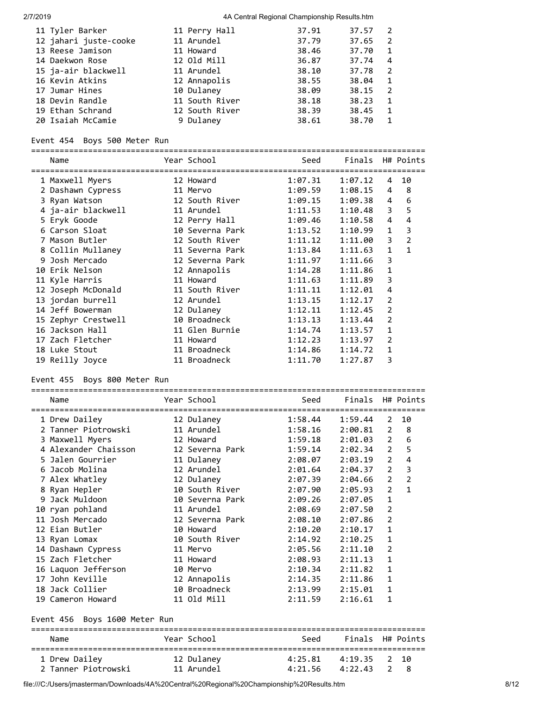| 11 Tyler Barker       | 11 Perry Hall  | 37.91 | 37.57 |                |
|-----------------------|----------------|-------|-------|----------------|
| 12 jahari juste-cooke | 11 Arundel     | 37.79 | 37.65 | $\overline{2}$ |
| 13 Reese Jamison      | 11 Howard      | 38.46 | 37.70 | $\mathbf{1}$   |
| 14 Daekwon Rose       | 12 Old Mill    | 36.87 | 37.74 | 4              |
| 15 ja-air blackwell   | 11 Arundel     | 38.10 | 37.78 | $\overline{2}$ |
| 16 Kevin Atkins       | 12 Annapolis   | 38.55 | 38.04 | $\mathbf{1}$   |
| 17 Jumar Hines        | 10 Dulaney     | 38.09 | 38.15 | $\overline{2}$ |
| 18 Devin Randle       | 11 South River | 38.18 | 38.23 | $\overline{1}$ |
| 19 Ethan Schrand      | 12 South River | 38.39 | 38.45 | $\overline{1}$ |
| 20 Isaiah McCamie     | 9 Dulaney      | 38.61 | 38.70 | - 1            |

# Event 454 Boys 500 Meter Run

===================================================================================

| Name<br>=============================== | Year School     | Seed    | Finals H# Points |                |                |
|-----------------------------------------|-----------------|---------|------------------|----------------|----------------|
| 1 Maxwell Myers                         | 12 Howard       | 1:07.31 | 1:07.12          | 4              | 10             |
| 2 Dashawn Cypress<br>11 Mervo           |                 | 1:09.59 | 1:08.15          | 4              | 8              |
| 3 Ryan Watson                           | 12 South River  | 1:09.15 | 1:09.38          | 4              | 6              |
| 4 ja-air blackwell                      | 11 Arundel      | 1:11.53 | 1:10.48          | 3              | 5              |
| 5 Eryk Goode                            | 12 Perry Hall   | 1:09.46 | 1:10.58          | 4              | 4              |
| 6 Carson Sloat                          | 10 Severna Park | 1:13.52 | 1:10.99          | $\mathbf{1}$   | 3              |
| 7 Mason Butler                          | 12 South River  | 1:11.12 | 1:11.00          | 3              | $\overline{2}$ |
| 8 Collin Mullaney                       | 11 Severna Park | 1:13.84 | 1:11.63          | $\mathbf{1}$   | $\mathbf{1}$   |
| 9 Josh Mercado                          | 12 Severna Park | 1:11.97 | 1:11.66          | 3              |                |
| 10 Erik Nelson                          | 12 Annapolis    | 1:14.28 | 1:11.86          | 1              |                |
| 11 Kyle Harris                          | 11 Howard       | 1:11.63 | 1:11.89          | 3              |                |
| 12 Joseph McDonald                      | 11 South River  | 1:11.11 | 1:12.01          | 4              |                |
| 13 jordan burrell                       | 12 Arundel      | 1:13.15 | 1:12.17          | 2              |                |
| 14 Jeff Bowerman                        | 12 Dulaney      | 1:12.11 | 1:12.45          | $\overline{2}$ |                |
| 15 Zephyr Crestwell                     | 10 Broadneck    | 1:13.13 | 1:13.44          | $\overline{2}$ |                |
| 16 Jackson Hall                         | 11 Glen Burnie  | 1:14.74 | 1:13.57          | $\mathbf{1}$   |                |
| 17 Zach Fletcher                        | 11 Howard       | 1:12.23 | 1:13.97          | 2              |                |
| 18 Luke Stout                           | 11 Broadneck    | 1:14.86 | 1:14.72          | 1              |                |
| 19 Reilly Joyce                         | 11 Broadneck    | 1:11.70 | 1:27.87          | 3              |                |

# Event 455 Boys 800 Meter Run

| Name                                             | Year School     | Seed    | Finals H# Points |                |                         |
|--------------------------------------------------|-----------------|---------|------------------|----------------|-------------------------|
| 1 Drew Dailey                                    | 12 Dulaney      | 1:58.44 | 1:59.44          | 2              | 10                      |
| 2 Tanner Piotrowski                              | 11 Arundel      | 1:58.16 | 2:00.81          | 2              | 8                       |
| 3 Maxwell Myers                                  | 12 Howard       | 1:59.18 | 2:01.03          | $\overline{2}$ | 6                       |
| 4 Alexander Chaisson 12 Severna Park             |                 | 1:59.14 | 2:02.34          | $\overline{2}$ | 5                       |
| 5 Jalen Gourrier                                 | 11 Dulaney      | 2:08.07 | 2:03.19          | $\overline{2}$ | $\overline{\mathbf{4}}$ |
| 6 Jacob Molina                                   | 12 Arundel      | 2:01.64 | 2:04.37          | $\overline{2}$ | $\overline{\mathbf{3}}$ |
| 7 Alex Whatley                                   | 12 Dulaney      | 2:07.39 | 2:04.66          | $\overline{2}$ | $\overline{2}$          |
| 8 Ryan Hepler                                    | 10 South River  | 2:07.90 | 2:05.93          | $\overline{2}$ | $\mathbf{1}$            |
| 9 Jack Muldoon                                   | 10 Severna Park | 2:09.26 | 2:07.05          | $\mathbf{1}$   |                         |
| 10 ryan pohland                                  | 11 Arundel      | 2:08.69 | 2:07.50          | $\overline{2}$ |                         |
| 11 Josh Mercado                                  | 12 Severna Park | 2:08.10 | 2:07.86          | $\overline{2}$ |                         |
| 12 Eian Butler                                   | 10 Howard       | 2:10.20 | 2:10.17          | $\mathbf{1}$   |                         |
| 13 Ryan Lomax                                    | 10 South River  | 2:14.92 | 2:10.25          | $\mathbf{1}$   |                         |
| 14 Dashawn Cypress                               | 11 Mervo        | 2:05.56 | 2:11.10          | $\overline{2}$ |                         |
| 15 Zach Fletcher                                 | 11 Howard       | 2:08.93 | 2:11.13          | $\mathbf{1}$   |                         |
| 16 Laquon Jefferson                              | 10 Mervo        | 2:10.34 | 2:11.82          | $\mathbf{1}$   |                         |
| 17 John Keville                                  | 12 Annapolis    | 2:14.35 | 2:11.86          | $\mathbf{1}$   |                         |
| 18 Jack Collier                                  | 10 Broadneck    | 2:13.99 | 2:15.01          | $\mathbf{1}$   |                         |
| 19 Cameron Howard                                | 11 Old Mill     | 2:11.59 | 2:16.61          | $\mathbf{1}$   |                         |
| Event 456 Boys 1600 Meter Run                    |                 |         |                  |                |                         |
| Name                                             | Year School     | Seed    | Finals H# Points |                |                         |
| :==============================<br>1 Drew Dailey | 12 Dulaney      | 4:25.81 | 4:19.35          | 2              | 10                      |
| 2 Tanner Piotrowski                              | 11 Arundel      | 4:21.56 | 4:22.43          | 2              | - 8                     |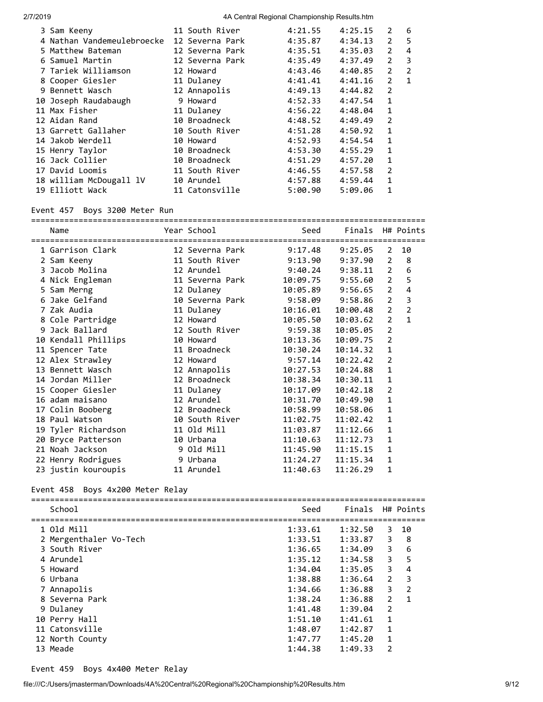| 3 Sam Keeny                | 11 South River  | 4:21.55 | 4:25.15 | 2              | 6            |
|----------------------------|-----------------|---------|---------|----------------|--------------|
| 4 Nathan Vandemeulebroecke | 12 Severna Park | 4:35.87 | 4:34.13 | 2              | 5            |
| 5 Matthew Bateman          | 12 Severna Park | 4:35.51 | 4:35.03 | $\overline{2}$ | 4            |
| 6 Samuel Martin            | 12 Severna Park | 4:35.49 | 4:37.49 | $\overline{2}$ | 3            |
| 7 Tariek Williamson        | 12 Howard       | 4:43.46 | 4:40.85 | $\overline{2}$ | 2            |
| 8 Cooper Giesler           | 11 Dulaney      | 4:41.41 | 4:41.16 | $\mathcal{P}$  | $\mathbf{1}$ |
| 9 Bennett Wasch            | 12 Annapolis    | 4:49.13 | 4:44.82 | $\overline{2}$ |              |
| 10 Joseph Raudabaugh       | 9 Howard        | 4:52.33 | 4:47.54 | $\mathbf{1}$   |              |
| 11 Max Fisher              | 11 Dulaney      | 4:56.22 | 4:48.04 | $\mathbf{1}$   |              |
| 12 Aidan Rand              | 10 Broadneck    | 4:48.52 | 4:49.49 | $\overline{2}$ |              |
| 13 Garrett Gallaher        | 10 South River  | 4:51.28 | 4:50.92 | 1              |              |
| 14 Jakob Werdell           | 10 Howard       | 4:52.93 | 4:54.54 | 1              |              |
| 15 Henry Taylor            | 10 Broadneck    | 4:53.30 | 4:55.29 | 1              |              |
| 16 Jack Collier            | 10 Broadneck    | 4:51.29 | 4:57.20 | 1              |              |
| 17 David Loomis            | 11 South River  | 4:46.55 | 4:57.58 | $\overline{2}$ |              |
| 18 william McDougall lV    | 10 Arundel      | 4:57.88 | 4:59.44 | $\mathbf{1}$   |              |
| 19 Elliott Wack            | 11 Catonsville  | 5:00.90 | 5:09.06 | 1              |              |

# Event 457 Boys 3200 Meter Run

| Name                | Year School             | Seed     | Finals H# Points |                |                |
|---------------------|-------------------------|----------|------------------|----------------|----------------|
| 1 Garrison Clark    | 12 Severna Park         | 9:17.48  | 9:25.05          | 2              | 10             |
| 2 Sam Keeny         | 11 South River          | 9:13.90  | 9:37.90          | $\overline{2}$ | 8              |
| 3 Jacob Molina      | 12 Arundel              | 9:40.24  | 9:38.11          | $\mathcal{P}$  | 6              |
| 4 Nick Engleman     | 11 Severna Park         | 10:09.75 | 9:55.60          | $\overline{2}$ | 5              |
| 5 Sam Merng         | 12 Dulaney              | 10:05.89 | 9:56.65          | $\overline{2}$ | $\overline{4}$ |
| 6 Jake Gelfand      | 10 Severna Park 9:58.09 |          | 9:58.86          | $\overline{2}$ | 3              |
| 7 Zak Audia         | 11 Dulaney              | 10:16.01 | 10:00.48         | $\overline{2}$ | $\overline{2}$ |
| 8 Cole Partridge    | 12 Howard               | 10:05.50 | 10:03.62         | 2              | $\mathbf{1}$   |
| 9 Jack Ballard      | 12 South River          | 9:59.38  | 10:05.05         | $\overline{2}$ |                |
| 10 Kendall Phillips | 10 Howard               | 10:13.36 | 10:09.75         | $\overline{2}$ |                |
| 11 Spencer Tate     | 11 Broadneck            | 10:30.24 | 10:14.32         | $\mathbf{1}$   |                |
| 12 Alex Strawley    | 12 Howard               | 9:57.14  | 10:22.42         | $\overline{2}$ |                |
| 13 Bennett Wasch    | 12 Annapolis            | 10:27.53 | 10:24.88         | $\mathbf{1}$   |                |
| 14 Jordan Miller    | 12 Broadneck            | 10:38.34 | 10:30.11         | $\mathbf{1}$   |                |
| 15 Cooper Giesler   | 11 Dulaney              | 10:17.09 | 10:42.18         | $\overline{2}$ |                |
| 16 adam maisano     | 12 Arundel              | 10:31.70 | 10:49.90         | $\mathbf{1}$   |                |
| 17 Colin Booberg    | 12 Broadneck            | 10:58.99 | 10:58.06         | 1              |                |
| 18 Paul Watson      | 10 South River          | 11:02.75 | 11:02.42         | 1              |                |
| 19 Tyler Richardson | 11 Old Mill             | 11:03.87 | 11:12.66         | $\mathbf{1}$   |                |
| 20 Bryce Patterson  | 10 Urbana               | 11:10.63 | 11:12.73         | $\mathbf{1}$   |                |
| 21 Noah Jackson     | 9 Old Mill              | 11:45.90 | 11:15.15         | $\mathbf{1}$   |                |
| 22 Henry Rodrigues  | 9 Urbana                | 11:24.27 | 11:15.34         | $\mathbf{1}$   |                |
| 23 justin kouroupis | 11 Arundel              | 11:40.63 | 11:26.29         | 1              |                |

# Event 458 Boys 4x200 Meter Relay

| School                 | Seed    | Finals  |                | H# Points     |
|------------------------|---------|---------|----------------|---------------|
| 1 Old Mill             | 1:33.61 | 1:32.50 | 3              | 10            |
| 2 Mergenthaler Vo-Tech | 1:33.51 | 1:33.87 | 3              | 8             |
| 3 South River          | 1:36.65 | 1:34.09 | 3              | 6             |
| 4 Arundel              | 1:35.12 | 1:34.58 | 3              | 5             |
| 5 Howard               | 1:34.04 | 1:35.05 | 3              | 4             |
| 6 Urbana               | 1:38.88 | 1:36.64 | $\overline{2}$ | 3             |
| 7 Annapolis            | 1:34.66 | 1:36.88 | 3              | $\mathcal{P}$ |
| 8 Severna Park         | 1:38.24 | 1:36.88 | $\overline{2}$ | 1             |
| 9 Dulaney              | 1:41.48 | 1:39.04 | $\overline{2}$ |               |
| 10 Perry Hall          | 1:51.10 | 1:41.61 | $\mathbf{1}$   |               |
| 11 Catonsville         | 1:48.07 | 1:42.87 | $\mathbf{1}$   |               |
| 12 North County        | 1:47.77 | 1:45.20 | $\mathbf{1}$   |               |
| 13 Meade               | 1:44.38 | 1:49.33 | $\overline{2}$ |               |

### Event 459 Boys 4x400 Meter Relay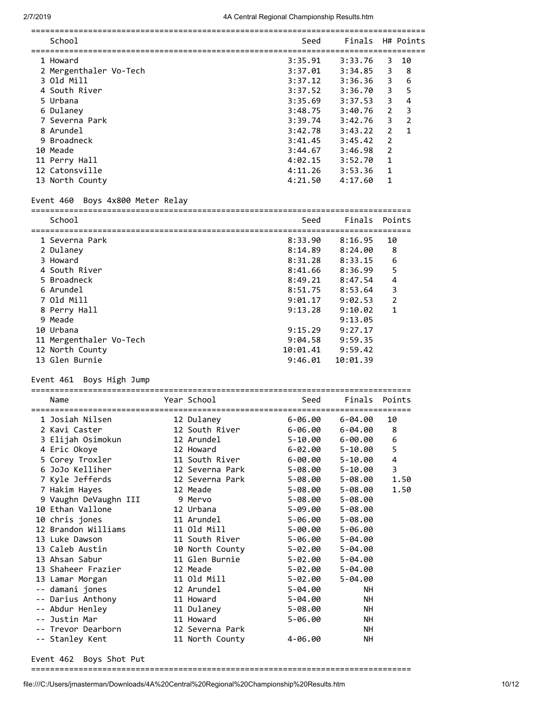| School                 | Seed    | Finals  |                | H# Points   |
|------------------------|---------|---------|----------------|-------------|
|                        |         |         |                |             |
| 1 Howard               | 3:35.91 | 3:33.76 | 3              | 10          |
| 2 Mergenthaler Vo-Tech | 3:37.01 | 3:34.85 | 3              | 8           |
| 3 Old Mill             | 3:37.12 | 3:36.36 | 3              | 6           |
| 4 South River          | 3:37.52 | 3:36.70 | 3              | 5           |
| 5 Urbana               | 3:35.69 | 3:37.53 | 3              | 4           |
| 6 Dulaney              | 3:48.75 | 3:40.76 | 2              | 3           |
| 7 Severna Park         | 3:39.74 | 3:42.76 | 3              | 2           |
| 8 Arundel              | 3:42.78 | 3:43.22 | $\mathcal{P}$  | $\mathbf 1$ |
| 9 Broadneck            | 3:41.45 | 3:45.42 | $\mathcal{P}$  |             |
| 10 Meade               | 3:44.67 | 3:46.98 | $\overline{2}$ |             |
| 11 Perry Hall          | 4:02.15 | 3:52.70 | 1              |             |
| 12 Catonsville         | 4:11.26 | 3:53.36 | 1              |             |
| 13 North County        | 4:21.50 | 4:17.60 | 1              |             |
|                        |         |         |                |             |

# Event 460 Boys 4x800 Meter Relay

| School                  | Seed     | Finals Points |               |
|-------------------------|----------|---------------|---------------|
|                         |          |               |               |
| 1 Severna Park          | 8:33.90  | 8:16.95       | 10            |
| 2 Dulaney               | 8:14.89  | 8:24.00       | 8             |
| 3 Howard                | 8:31.28  | 8:33.15       | 6             |
| 4 South River           | 8:41.66  | 8:36.99       | 5             |
| 5 Broadneck             | 8:49.21  | 8:47.54       | 4             |
| 6 Arundel               | 8:51.75  | 8:53.64       | 3             |
| 7 Old Mill              | 9:01.17  | 9:02.53       | $\mathcal{P}$ |
| 8 Perry Hall            | 9:13.28  | 9:10.02       | 1             |
| 9 Meade                 |          | 9:13.05       |               |
| 10 Urbana               | 9:15.29  | 9:27.17       |               |
| 11 Mergenthaler Vo-Tech | 9:04.58  | 9:59.35       |               |
| 12 North County         | 10:01.41 | 9:59.42       |               |
| 13 Glen Burnie          | 9:46.01  | 10:01.39      |               |

# Event 461 Boys High Jump

| 1 Josiah Nilsen<br>12 Dulaney<br>6-06.00 6-04.00<br>10<br>2 Kavi Caster<br>12 South River<br>8<br>6-06.00<br>$6 - 04.00$<br>6<br>3 Elijah Osimokun<br>12 Arundel<br>$5 - 10.00$ $6 - 00.00$<br>5<br>4 Eric Okoye<br>6-02.00<br>$5 - 10.00$<br>12 Howard<br>$\overline{4}$<br>5 Corey Troxler<br>11 South River<br>$6 - 00.00$ $5 - 10.00$<br>3<br>6 JoJo Kelliher<br>12 Severna Park<br>5-08.00<br>5-10.00<br>7 Kyle Jefferds<br>12 Severna Park<br>5-08.00<br>5-08.00<br>7 Hakim Hayes<br>12 Meade<br>5-08.00<br>$5 - 08.00$<br>9 Vaughn DeVaughn III<br>5-08.00<br>$5 - 08.00$<br>9 Mervo | Finals Points |
|---------------------------------------------------------------------------------------------------------------------------------------------------------------------------------------------------------------------------------------------------------------------------------------------------------------------------------------------------------------------------------------------------------------------------------------------------------------------------------------------------------------------------------------------------------------------------------------------|---------------|
|                                                                                                                                                                                                                                                                                                                                                                                                                                                                                                                                                                                             |               |
|                                                                                                                                                                                                                                                                                                                                                                                                                                                                                                                                                                                             |               |
|                                                                                                                                                                                                                                                                                                                                                                                                                                                                                                                                                                                             |               |
|                                                                                                                                                                                                                                                                                                                                                                                                                                                                                                                                                                                             |               |
|                                                                                                                                                                                                                                                                                                                                                                                                                                                                                                                                                                                             |               |
|                                                                                                                                                                                                                                                                                                                                                                                                                                                                                                                                                                                             |               |
|                                                                                                                                                                                                                                                                                                                                                                                                                                                                                                                                                                                             | 1.50          |
|                                                                                                                                                                                                                                                                                                                                                                                                                                                                                                                                                                                             | 1.50          |
|                                                                                                                                                                                                                                                                                                                                                                                                                                                                                                                                                                                             |               |
| 10 Ethan Vallone<br>12 Urbana<br>5-09.00<br>$5 - 08.00$                                                                                                                                                                                                                                                                                                                                                                                                                                                                                                                                     |               |
| 10 chris jones<br>11 Arundel<br>5-06.00<br>$5 - 08.00$                                                                                                                                                                                                                                                                                                                                                                                                                                                                                                                                      |               |
| 12 Brandon Williams<br>11 Old Mill<br>5-00.00<br>$5 - 06.00$                                                                                                                                                                                                                                                                                                                                                                                                                                                                                                                                |               |
| 11 South River<br>13 Luke Dawson<br>5-06.00<br>$5 - 04.00$                                                                                                                                                                                                                                                                                                                                                                                                                                                                                                                                  |               |
| 13 Caleb Austin<br>10 North County<br>5-02.00<br>$5 - 04.00$                                                                                                                                                                                                                                                                                                                                                                                                                                                                                                                                |               |
| 11 Glen Burnie<br>13 Ahsan Sabur<br>5-02.00<br>$5 - 04.00$                                                                                                                                                                                                                                                                                                                                                                                                                                                                                                                                  |               |
| 13 Shaheer Frazier<br>5-02.00<br>$5 - 04.00$<br>12 Meade                                                                                                                                                                                                                                                                                                                                                                                                                                                                                                                                    |               |
| 13 Lamar Morgan<br>11 Old Mill<br>5-02.00<br>$5 - 04.00$                                                                                                                                                                                                                                                                                                                                                                                                                                                                                                                                    |               |
| -- damani jones<br>12 Arundel<br>$5 - 04.00$<br><b>NH</b>                                                                                                                                                                                                                                                                                                                                                                                                                                                                                                                                   |               |
| -- Darius Anthony<br>11 Howard<br>$5 - 04.00$<br><b>NH</b>                                                                                                                                                                                                                                                                                                                                                                                                                                                                                                                                  |               |
| -- Abdur Henley<br>11 Dulaney<br><b>NH</b><br>$5 - 08.00$                                                                                                                                                                                                                                                                                                                                                                                                                                                                                                                                   |               |
| -- Justin Mar<br>11 Howard<br>$5 - 06.00$<br>NH                                                                                                                                                                                                                                                                                                                                                                                                                                                                                                                                             |               |
| -- Trevor Dearborn<br>12 Severna Park<br><b>NH</b>                                                                                                                                                                                                                                                                                                                                                                                                                                                                                                                                          |               |
| -- Stanley Kent<br>11 North County<br>4-06.00<br>NΗ                                                                                                                                                                                                                                                                                                                                                                                                                                                                                                                                         |               |

Event 462 Boys Shot Put

================================================================================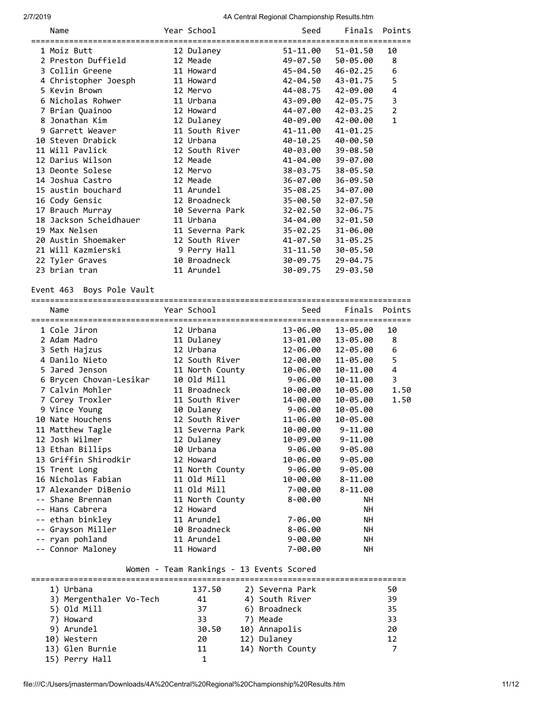| Name<br>========================= | Year School     | Seed     | Finals            | Points         |
|-----------------------------------|-----------------|----------|-------------------|----------------|
| 1 Moiz Butt                       | 12 Dulaney      |          | 51-11.00 51-01.50 | 10             |
| 2 Preston Duffield                | 12 Meade        | 49-07.50 | 50-05.00          | 8              |
| 3 Collin Greene                   | 11 Howard       |          | 45-04.50 46-02.25 | 6              |
| 4 Christopher Joesph              | 11 Howard       |          | 42-04.50 43-01.75 | 5              |
| 5 Kevin Brown                     | 12 Mervo        |          | 44-08.75 42-09.00 | 4              |
| 6 Nicholas Rohwer                 | 11 Urbana       |          | 43-09.00 42-05.75 | 3              |
| 7 Brian Quainoo                   | 12 Howard       |          | 44-07.00 42-03.25 | $\overline{2}$ |
| 8 Jonathan Kim                    | 12 Dulaney      | 40-09.00 | 42-00.00          | $\mathbf{1}$   |
| 9 Garrett Weaver                  | 11 South River  | 41-11.00 | 41-01.25          |                |
| 10 Steven Drabick                 | 12 Urbana       | 40-10.25 | 40-00.50          |                |
| 11 Will Pavlick                   | 12 South River  | 40-03.00 | 39-08.50          |                |
| 12 Darius Wilson                  | 12 Meade        | 41-04.00 | 39-07.00          |                |
| 13 Deonte Solese                  | 12 Mervo        | 38-03.75 | 38-05.50          |                |
| 14 Joshua Castro                  | 12 Meade        | 36-07.00 | 36-09.50          |                |
| 15 austin bouchard                | 11 Arundel      | 35-08.25 | 34-07.00          |                |
| 16 Cody Gensic                    | 12 Broadneck    | 35-00.50 | 32-07.50          |                |
| 17 Brauch Murray                  | 10 Severna Park | 32-02.50 | 32-06.75          |                |
| 18 Jackson Scheidhauer            | 11 Urbana       | 34-04.00 | 32-01.50          |                |
| 19 Max Nelsen                     | 11 Severna Park | 35-02.25 | 31-06.00          |                |
| 20 Austin Shoemaker               | 12 South River  | 41-07.50 | $31 - 05.25$      |                |
| 21 Will Kazmierski                | 9 Perry Hall    | 31-11.50 | 30-05.50          |                |
| 22 Tyler Graves                   | 10 Broadneck    | 30-09.75 | 29-04.75          |                |
| 23 brian tran                     | 11 Arundel      | 30-09.75 | 29-03.50          |                |
|                                   |                 |          |                   |                |

Event 463 Boys Pole Vault

| Name                    | Year School     | Seed        |                   | Finals Points  |
|-------------------------|-----------------|-------------|-------------------|----------------|
| 1 Cole Jiron            | 12 Urbana       |             | 13-06.00 13-05.00 | 10             |
| 2 Adam Madro            | 11 Dulaney      | 13-01.00    | 13-05.00          | 8              |
| 3 Seth Hajzus           | 12 Urbana       |             | 12-06.00 12-05.00 | 6              |
| 4 Danilo Nieto          | 12 South River  | 12-00.00    | 11-05.00          | 5              |
| 5 Jared Jenson          | 11 North County | 10-06.00    | 10-11.00          | $\overline{4}$ |
| 6 Brycen Chovan-Lesikar | 10 Old Mill     | 9-06.00     | 10-11.00          | 3              |
| 7 Calvin Mohler         | 11 Broadneck    | 10-00.00    | 10-05.00          | 1.50           |
| 7 Corey Troxler         | 11 South River  | 14-00.00    | 10-05.00          | 1.50           |
| 9 Vince Young           | 10 Dulaney      | 9-06.00     | 10-05.00          |                |
| 10 Nate Houchens        | 12 South River  | 11-06.00    | 10-05.00          |                |
| 11 Matthew Tagle        | 11 Severna Park | 10-00.00    | $9 - 11.00$       |                |
| 12 Josh Wilmer          | 12 Dulaney      | 10-09.00    | $9 - 11.00$       |                |
| 13 Ethan Billips        | 10 Urbana       | $9 - 06.00$ | $9 - 05.00$       |                |
| 13 Griffin Shirodkir    | 12 Howard       | 10-06.00    | $9 - 05.00$       |                |
| 15 Trent Long           | 11 North County | 9-06.00     | $9 - 05.00$       |                |
| 16 Nicholas Fabian      | 11 Old Mill     | 10-00.00    | $8 - 11.00$       |                |
| 17 Alexander DiBenio    | 11 Old Mill     | 7-00.00     | $8 - 11.00$       |                |
| -- Shane Brennan        | 11 North County | $8 - 00.00$ | <b>NH</b>         |                |
| -- Hans Cabrera         | 12 Howard       |             | <b>NH</b>         |                |
| -- ethan binkley        | 11 Arundel      | 7-06.00     | <b>NH</b>         |                |
| -- Grayson Miller       | 10 Broadneck    | 8-06.00     | NH.               |                |
| -- ryan pohland         | 11 Arundel      | $9 - 00.00$ | NH.               |                |
| -- Connor Maloney       | 11 Howard       | $7 - 00.00$ | <b>NH</b>         |                |

# Women - Team Rankings - 13 Events Scored

| 1) Urbana               | 137.50 | 2) Severna Park  | 50 |
|-------------------------|--------|------------------|----|
| 3) Mergenthaler Vo-Tech | 41     | 4) South River   | 39 |
| 5) Old Mill             | 37     | 6) Broadneck     | 35 |
| 7) Howard               | 33     | 7) Meade         | 33 |
| 9) Arundel              | 30.50  | 10) Annapolis    | 20 |
| 10) Western             | 20     | 12) Dulaney      | 12 |
| 13) Glen Burnie         | 11     | 14) North County |    |
| 15) Perry Hall          |        |                  |    |
|                         |        |                  |    |